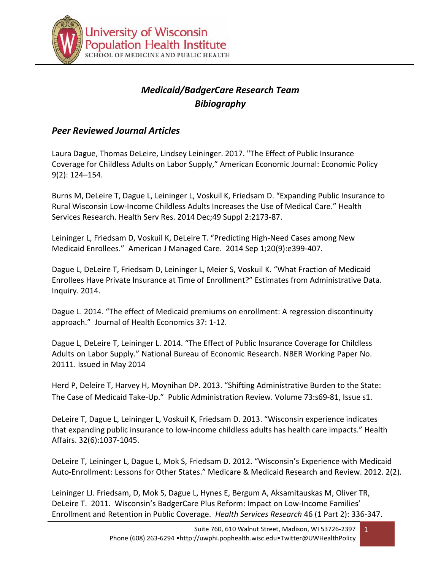

# *Medicaid/BadgerCare Research Team Bibiography*

### *Peer Reviewed Journal Articles*

Laura Dague, Thomas DeLeire, Lindsey Leininger. 2017. "The Effect of Public Insurance Coverage for Childless Adults on Labor Supply," American Economic Journal: Economic Policy 9(2): 124–154.

Burns M, DeLeire T, Dague L, Leininger L, Voskuil K, Friedsam D. "Expanding Public Insurance to Rural Wisconsin Low-Income Childless Adults Increases the Use of Medical Care." Health Services Research. Health Serv Res. 2014 Dec;49 Suppl 2:2173-87.

Leininger L, Friedsam D, Voskuil K, DeLeire T. "Predicting High-Need Cases among New Medicaid Enrollees." American J Managed Care. 2014 Sep 1;20(9):e399-407.

Dague L, DeLeire T, Friedsam D, Leininger L, Meier S, Voskuil K. "What Fraction of Medicaid Enrollees Have Private Insurance at Time of Enrollment?" Estimates from Administrative Data. Inquiry. 2014.

Dague L. 2014. "The effect of Medicaid premiums on enrollment: A regression discontinuity approach." Journal of Health Economics 37: 1-12.

Dague L, DeLeire T, Leininger L. 2014. "The Effect of Public Insurance Coverage for Childless Adults on Labor Supply." National Bureau of Economic Research. NBER Working Paper No. 20111. Issued in May 2014

Herd P, Deleire T, Harvey H, Moynihan DP. 2013. "Shifting Administrative Burden to the State: The Case of Medicaid Take-Up." Public Administration Review. Volume 73:s69-81, Issue s1.

DeLeire T, Dague L, Leininger L, Voskuil K, Friedsam D. 2013. "Wisconsin experience indicates that expanding public insurance to low-income childless adults has health care impacts." Health Affairs. 32(6):1037-1045.

DeLeire T, Leininger L, Dague L, Mok S, Friedsam D. 2012. "Wisconsin's Experience with Medicaid Auto-Enrollment: Lessons for Other States." Medicare & Medicaid Research and Review. 2012. 2(2).

Leininger LJ. Friedsam, D, Mok S, Dague L, Hynes E, Bergum A, Aksamitauskas M, Oliver TR, DeLeire T. 2011. Wisconsin's BadgerCare Plus Reform: Impact on Low-Income Families' Enrollment and Retention in Public Coverage. *Health Services Research* 46 (1 Part 2): 336-347.

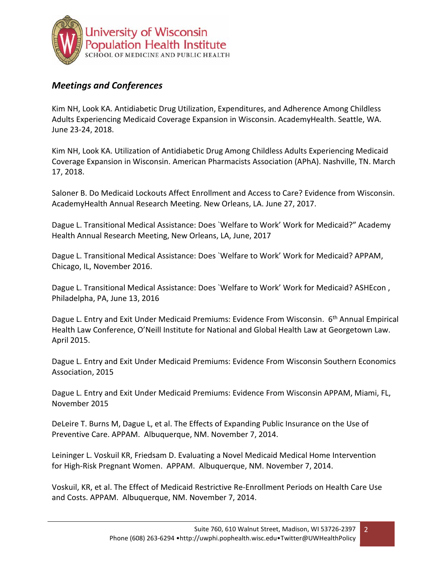

## *Meetings and Conferences*

Kim NH, Look KA. Antidiabetic Drug Utilization, Expenditures, and Adherence Among Childless Adults Experiencing Medicaid Coverage Expansion in Wisconsin. AcademyHealth. Seattle, WA. June 23-24, 2018.

Kim NH, Look KA. Utilization of Antidiabetic Drug Among Childless Adults Experiencing Medicaid Coverage Expansion in Wisconsin. American Pharmacists Association (APhA). Nashville, TN. March 17, 2018.

Saloner B. Do Medicaid Lockouts Affect Enrollment and Access to Care? Evidence from Wisconsin. AcademyHealth Annual Research Meeting. New Orleans, LA. June 27, 2017.

Dague L. Transitional Medical Assistance: Does `Welfare to Work' Work for Medicaid?" Academy Health Annual Research Meeting, New Orleans, LA, June, 2017

Dague L. Transitional Medical Assistance: Does `Welfare to Work' Work for Medicaid? APPAM, Chicago, IL, November 2016.

Dague L. Transitional Medical Assistance: Does `Welfare to Work' Work for Medicaid? ASHEcon, Philadelpha, PA, June 13, 2016

Dague L. Entry and Exit Under Medicaid Premiums: Evidence From Wisconsin. 6<sup>th</sup> Annual Empirical Health Law Conference, O'Neill Institute for National and Global Health Law at Georgetown Law. April 2015.

Dague L. Entry and Exit Under Medicaid Premiums: Evidence From Wisconsin Southern Economics Association, 2015

Dague L. Entry and Exit Under Medicaid Premiums: Evidence From Wisconsin APPAM, Miami, FL, November 2015

DeLeire T. Burns M, Dague L, et al. The Effects of Expanding Public Insurance on the Use of Preventive Care. APPAM. Albuquerque, NM. November 7, 2014.

Leininger L. Voskuil KR, Friedsam D. Evaluating a Novel Medicaid Medical Home Intervention for High-Risk Pregnant Women. APPAM. Albuquerque, NM. November 7, 2014.

Voskuil, KR, et al. The Effect of Medicaid Restrictive Re-Enrollment Periods on Health Care Use and Costs. APPAM. Albuquerque, NM. November 7, 2014.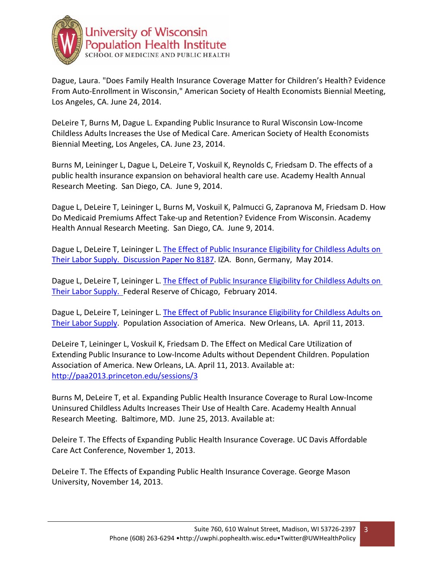

Dague, Laura. "Does Family Health Insurance Coverage Matter for Children's Health? Evidence From Auto-Enrollment in Wisconsin," American Society of Health Economists Biennial Meeting, Los Angeles, CA. June 24, 2014.

DeLeire T, Burns M, Dague L. Expanding Public Insurance to Rural Wisconsin Low-Income Childless Adults Increases the Use of Medical Care. American Society of Health Economists Biennial Meeting, Los Angeles, CA. June 23, 2014.

Burns M, Leininger L, Dague L, DeLeire T, Voskuil K, Reynolds C, Friedsam D. The effects of a public health insurance expansion on behavioral health care use. Academy Health Annual Research Meeting. San Diego, CA. June 9, 2014.

Dague L, DeLeire T, Leininger L, Burns M, Voskuil K, Palmucci G, Zapranova M, Friedsam D. How Do Medicaid Premiums Affect Take-up and Retention? Evidence From Wisconsin. Academy Health Annual Research Meeting. San Diego, CA. June 9, 2014.

Dague L, DeLeire T, Leininger L. [The Effect of Public Insurance Eligibility for Childless Adults on](http://ftp.iza.org/dp8187.pdf) [Their Labor Supply. Discussion Paper No 8187.](http://ftp.iza.org/dp8187.pdf) IZA. Bonn, Germany, May 2014.

Dague L, DeLeire T, Leininger L. [The Effect of Public Insurance Eligibility for Childless Adults on](http://www.chicagofed.org/digital_assets/others/events/2014/affordable_care_act/chicago_fed_affordable_care_dague_deleire_leininger.pdf) [Their Labor Supply.](http://www.chicagofed.org/digital_assets/others/events/2014/affordable_care_act/chicago_fed_affordable_care_dague_deleire_leininger.pdf) Federal Reserve of Chicago, February 2014.

Dague L, DeLeire T, Leininger L. [The Effect of Public Insurance Eligibility for Childless Adults on](http://paa2013.princeton.edu/abstracts/130941) [Their Labor Supply.](http://paa2013.princeton.edu/abstracts/130941) Population Association of America. New Orleans, LA. April 11, 2013.

DeLeire T, Leininger L, Voskuil K, Friedsam D. The Effect on Medical Care Utilization of Extending Public Insurance to Low-Income Adults without Dependent Children. Population Association of America. New Orleans, LA. April 11, 2013. Available at: <http://paa2013.princeton.edu/sessions/3>

Burns M, DeLeire T, et al. Expanding Public Health Insurance Coverage to Rural Low-Income Uninsured Childless Adults Increases Their Use of Health Care. Academy Health Annual Research Meeting. Baltimore, MD. June 25, 2013. Available at:

Deleire T. The Effects of Expanding Public Health Insurance Coverage. UC Davis Affordable Care Act Conference, November 1, 2013.

DeLeire T. The Effects of Expanding Public Health Insurance Coverage. George Mason University, November 14, 2013.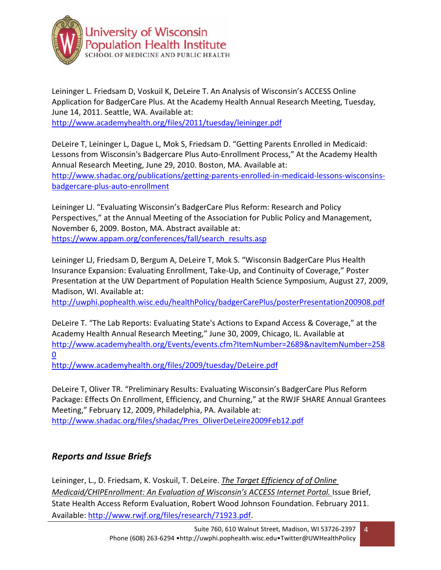

Leininger L. Friedsam D, Voskuil K, DeLeire T. An Analysis of Wisconsin's ACCESS Online Application for BadgerCare Plus. At the Academy Health Annual Research Meeting, Tuesday, June 14, 2011. Seattle, WA. Available at: <http://www.academyhealth.org/files/2011/tuesday/leininger.pdf>

DeLeire T, Leininger L, Dague L, Mok S, Friedsam D. "Getting Parents Enrolled in Medicaid: Lessons from Wisconsin's Badgercare Plus Auto-Enrollment Process," At the Academy Health Annual Research Meeting, June 29, 2010. Boston, MA. Available at: [http://www.shadac.org/publications/getting-parents-enrolled-in-medicaid-lessons-wisconsins](http://www.shadac.org/publications/getting-parents-enrolled-in-medicaid-lessons-wisconsins-badgercare-plus-auto-enrollment)[badgercare-plus-auto-enrollment](http://www.shadac.org/publications/getting-parents-enrolled-in-medicaid-lessons-wisconsins-badgercare-plus-auto-enrollment)

Leininger LJ. "Evaluating Wisconsin's BadgerCare Plus Reform: Research and Policy Perspectives," at the Annual Meeting of the Association for Public Policy and Management, November 6, 2009. Boston, MA. Abstract available at: [https://www.appam.org/conferences/fall/search\\_results.asp](https://www.appam.org/conferences/fall/search_results.asp)

Leininger LJ, Friedsam D, Bergum A, DeLeire T, Mok S. "Wisconsin BadgerCare Plus Health Insurance Expansion: Evaluating Enrollment, Take-Up, and Continuity of Coverage," Poster Presentation at the UW Department of Population Health Science Symposium, August 27, 2009, Madison, WI. Available at:

<http://uwphi.pophealth.wisc.edu/healthPolicy/badgerCarePlus/posterPresentation200908.pdf>

DeLeire T. "The Lab Reports: Evaluating State's Actions to Expand Access & Coverage," at the Academy Health Annual Research Meeting," June 30, 2009, Chicago, IL. Available at [http://www.academyhealth.org/Events/events.cfm?ItemNumber=2689&navItemNumber=258](http://www.academyhealth.org/Events/events.cfm?ItemNumber=2689&navItemNumber=2580) [0](http://www.academyhealth.org/Events/events.cfm?ItemNumber=2689&navItemNumber=2580)

<http://www.academyhealth.org/files/2009/tuesday/DeLeire.pdf>

DeLeire T, Oliver TR. "Preliminary Results: Evaluating Wisconsin's BadgerCare Plus Reform Package: Effects On Enrollment, Efficiency, and Churning," at the RWJF SHARE Annual Grantees Meeting," February 12, 2009, Philadelphia, PA. Available at: [http://www.shadac.org/files/shadac/Pres\\_OliverDeLeire2009Feb12.pdf](http://www.shadac.org/files/shadac/Pres_OliverDeLeire2009Feb12.pdf)

# *Reports and Issue Briefs*

Leininger, L., D. Friedsam, K. Voskuil, T. DeLeire. *The Target Efficiency of of Online Medicaid/CHIPEnrollment: An Evaluation of Wisconsin's ACCESS Internet Portal. Issue Brief,* State Health Access Reform Evaluation, Robert Wood Johnson Foundation. February 2011. Available: [http://www.rwjf.org/files/research/71923.pdf.](http://www.rwjf.org/files/research/71923.pdf)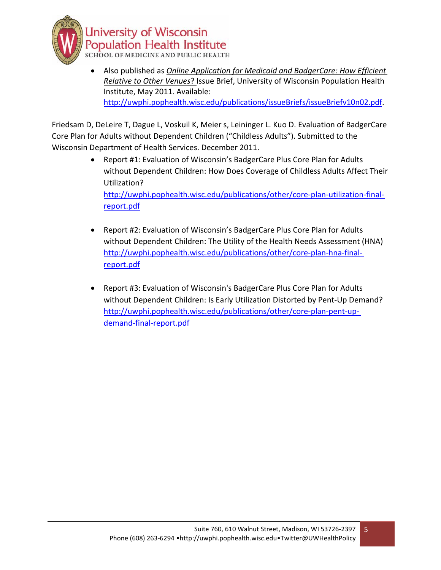

• Also published as *Online Application for Medicaid and BadgerCare: How Efficient Relative to Other Venues*? Issue Brief, University of Wisconsin Population Health Institute, May 2011. Available: [http://uwphi.pophealth.wisc.edu/publications/issueBriefs/issueBriefv10n02.pdf.](http://uwphi.pophealth.wisc.edu/publications/issueBriefs/issueBriefv10n02.pdf)

Friedsam D, DeLeire T, Dague L, Voskuil K, Meier s, Leininger L. Kuo D. Evaluation of BadgerCare Core Plan for Adults without Dependent Children ("Childless Adults"). Submitted to the Wisconsin Department of Health Services. December 2011.

> • Report #1: Evaluation of Wisconsin's BadgerCare Plus Core Plan for Adults without Dependent Children: How Does Coverage of Childless Adults Affect Their Utilization?

[http://uwphi.pophealth.wisc.edu/publications/other/core-plan-utilization-final](http://uwphi.pophealth.wisc.edu/publications/other/core-plan-utilization-final-report.pdf)[report.pdf](http://uwphi.pophealth.wisc.edu/publications/other/core-plan-utilization-final-report.pdf)

- Report #2: Evaluation of Wisconsin's BadgerCare Plus Core Plan for Adults without Dependent Children: The Utility of the Health Needs Assessment (HNA) [http://uwphi.pophealth.wisc.edu/publications/other/core-plan-hna-final](http://uwphi.pophealth.wisc.edu/publications/other/core-plan-hna-final-report.pdf)[report.pdf](http://uwphi.pophealth.wisc.edu/publications/other/core-plan-hna-final-report.pdf)
- Report #3: Evaluation of Wisconsin's BadgerCare Plus Core Plan for Adults without Dependent Children: Is Early Utilization Distorted by Pent-Up Demand? [http://uwphi.pophealth.wisc.edu/publications/other/core-plan-pent-up](http://uwphi.pophealth.wisc.edu/publications/other/core-plan-pent-up-demand-final-report.pdf)[demand-final-report.pdf](http://uwphi.pophealth.wisc.edu/publications/other/core-plan-pent-up-demand-final-report.pdf)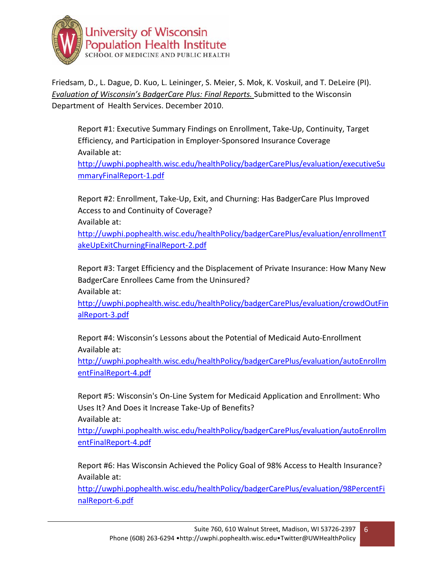

Friedsam, D., L. Dague, D. Kuo, L. Leininger, S. Meier, S. Mok, K. Voskuil, and T. DeLeire (PI). *Evaluation of Wisconsin's BadgerCare Plus: Final Reports.* Submitted to the Wisconsin Department of Health Services. December 2010.

Report #1: Executive Summary Findings on Enrollment, Take-Up, Continuity, Target Efficiency, and Participation in Employer-Sponsored Insurance Coverage Available at:

[http://uwphi.pophealth.wisc.edu/healthPolicy/badgerCarePlus/evaluation/executiveSu](http://uwphi.pophealth.wisc.edu/healthPolicy/badgerCarePlus/evaluation/executiveSummaryFinalReport-1.pdf) [mmaryFinalReport-1.pdf](http://uwphi.pophealth.wisc.edu/healthPolicy/badgerCarePlus/evaluation/executiveSummaryFinalReport-1.pdf)

Report #2: Enrollment, Take-Up, Exit, and Churning: Has BadgerCare Plus Improved Access to and Continuity of Coverage?

Available at:

[http://uwphi.pophealth.wisc.edu/healthPolicy/badgerCarePlus/evaluation/enrollmentT](http://uwphi.pophealth.wisc.edu/healthPolicy/badgerCarePlus/evaluation/enrollmentTakeUpExitChurningFinalReport-2.pdf) [akeUpExitChurningFinalReport-2.pdf](http://uwphi.pophealth.wisc.edu/healthPolicy/badgerCarePlus/evaluation/enrollmentTakeUpExitChurningFinalReport-2.pdf)

Report #3: Target Efficiency and the Displacement of Private Insurance: How Many New BadgerCare Enrollees Came from the Uninsured? Available at:

[http://uwphi.pophealth.wisc.edu/healthPolicy/badgerCarePlus/evaluation/crowdOutFin](http://uwphi.pophealth.wisc.edu/healthPolicy/badgerCarePlus/evaluation/crowdOutFinalReport-3.pdf) [alReport-3.pdf](http://uwphi.pophealth.wisc.edu/healthPolicy/badgerCarePlus/evaluation/crowdOutFinalReport-3.pdf)

Report #4: Wisconsin's Lessons about the Potential of Medicaid Auto-Enrollment Available at:

[http://uwphi.pophealth.wisc.edu/healthPolicy/badgerCarePlus/evaluation/autoEnrollm](http://uwphi.pophealth.wisc.edu/healthPolicy/badgerCarePlus/evaluation/autoEnrollmentFinalReport-4.pdf) [entFinalReport-4.pdf](http://uwphi.pophealth.wisc.edu/healthPolicy/badgerCarePlus/evaluation/autoEnrollmentFinalReport-4.pdf)

Report #5: Wisconsin's On-Line System for Medicaid Application and Enrollment: Who Uses It? And Does it Increase Take-Up of Benefits?

Available at:

[http://uwphi.pophealth.wisc.edu/healthPolicy/badgerCarePlus/evaluation/autoEnrollm](http://uwphi.pophealth.wisc.edu/healthPolicy/badgerCarePlus/evaluation/autoEnrollmentFinalReport-4.pdf) [entFinalReport-4.pdf](http://uwphi.pophealth.wisc.edu/healthPolicy/badgerCarePlus/evaluation/autoEnrollmentFinalReport-4.pdf)

Report #6: Has Wisconsin Achieved the Policy Goal of 98% Access to Health Insurance? Available at:

[http://uwphi.pophealth.wisc.edu/healthPolicy/badgerCarePlus/evaluation/98PercentFi](http://uwphi.pophealth.wisc.edu/healthPolicy/badgerCarePlus/evaluation/98PercentFinalReport-6.pdf) [nalReport-6.pdf](http://uwphi.pophealth.wisc.edu/healthPolicy/badgerCarePlus/evaluation/98PercentFinalReport-6.pdf)